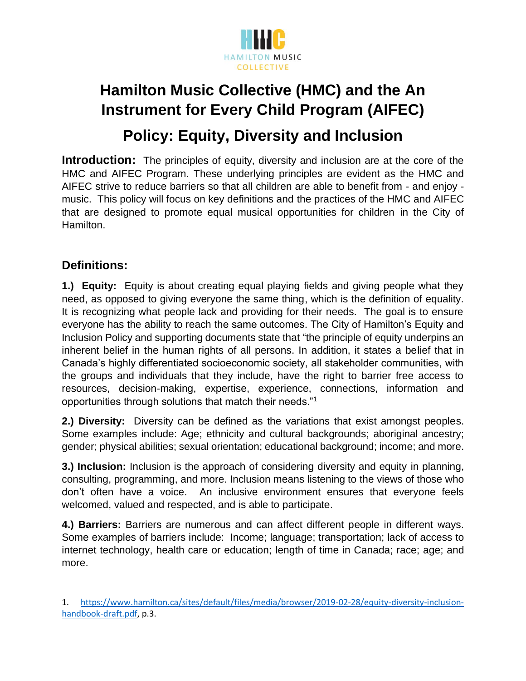

# **Hamilton Music Collective (HMC) and the An Instrument for Every Child Program (AIFEC)**

**Policy: Equity, Diversity and Inclusion**

**Introduction:** The principles of equity, diversity and inclusion are at the core of the HMC and AIFEC Program. These underlying principles are evident as the HMC and AIFEC strive to reduce barriers so that all children are able to benefit from - and enjoy music. This policy will focus on key definitions and the practices of the HMC and AIFEC that are designed to promote equal musical opportunities for children in the City of Hamilton.

## **Definitions:**

**1.) Equity:** Equity is about creating equal playing fields and giving people what they need, as opposed to giving everyone the same thing, which is the definition of equality. It is recognizing what people lack and providing for their needs. The goal is to ensure everyone has the ability to reach the same outcomes. The City of Hamilton's Equity and Inclusion Policy and supporting documents state that "the principle of equity underpins an inherent belief in the human rights of all persons. In addition, it states a belief that in Canada's highly differentiated socioeconomic society, all stakeholder communities, with the groups and individuals that they include, have the right to barrier free access to resources, decision-making, expertise, experience, connections, information and opportunities through solutions that match their needs."<sup>1</sup>

**2.) Diversity:** Diversity can be defined as the variations that exist amongst peoples. Some examples include: Age; ethnicity and cultural backgrounds; aboriginal ancestry; gender; physical abilities; sexual orientation; educational background; income; and more.

**3.) Inclusion:** Inclusion is the approach of considering diversity and equity in planning, consulting, programming, and more. Inclusion means listening to the views of those who don't often have a voice. An inclusive environment ensures that everyone feels welcomed, valued and respected, and is able to participate.

**4.) Barriers:** Barriers are numerous and can affect different people in different ways. Some examples of barriers include: Income; language; transportation; lack of access to internet technology, health care or education; length of time in Canada; race; age; and more.

1. [https://www.hamilton.ca/sites/default/files/media/browser/2019-02-28/equity-diversity-inclusion](https://www.hamilton.ca/sites/default/files/media/browser/2019-02-28/equity-diversity-inclusion-handbook-draft.pdf)[handbook-draft.pdf,](https://www.hamilton.ca/sites/default/files/media/browser/2019-02-28/equity-diversity-inclusion-handbook-draft.pdf) p.3.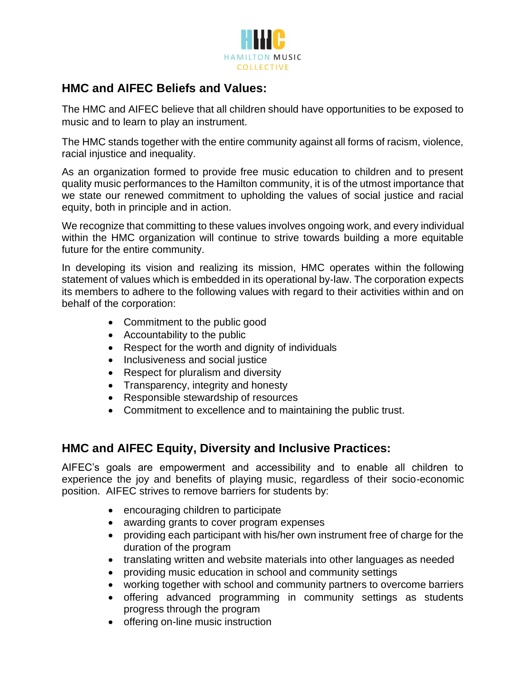

### **HMC and AIFEC Beliefs and Values:**

The HMC and AIFEC believe that all children should have opportunities to be exposed to music and to learn to play an instrument.

The HMC stands together with the entire community against all forms of racism, violence, racial injustice and inequality.

As an organization formed to provide free music education to children and to present quality music performances to the Hamilton community, it is of the utmost importance that we state our renewed commitment to upholding the values of social justice and racial equity, both in principle and in action.

We recognize that committing to these values involves ongoing work, and every individual within the HMC organization will continue to strive towards building a more equitable future for the entire community.

In developing its vision and realizing its mission, HMC operates within the following statement of values which is embedded in its operational by-law. The corporation expects its members to adhere to the following values with regard to their activities within and on behalf of the corporation:

- Commitment to the public good
- Accountability to the public
- Respect for the worth and dignity of individuals
- Inclusiveness and social justice
- Respect for pluralism and diversity
- Transparency, integrity and honesty
- Responsible stewardship of resources
- Commitment to excellence and to maintaining the public trust.

#### **HMC and AIFEC Equity, Diversity and Inclusive Practices:**

AIFEC's goals are empowerment and accessibility and to enable all children to experience the joy and benefits of playing music, regardless of their socio-economic position. AIFEC strives to remove barriers for students by:

- encouraging children to participate
- awarding grants to cover program expenses
- providing each participant with his/her own instrument free of charge for the duration of the program
- translating written and website materials into other languages as needed
- providing music education in school and community settings
- working together with school and community partners to overcome barriers
- offering advanced programming in community settings as students progress through the program
- offering on-line music instruction